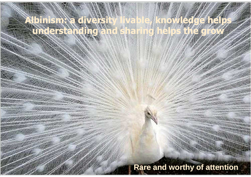# **Albinism: a diversity livable, knowledge help understanding and sharing helps the g**

# **Rare and worthy of attention**